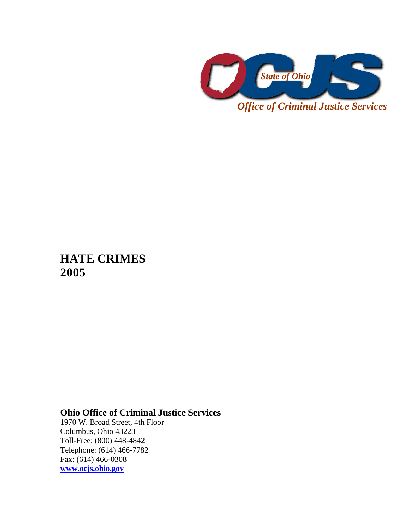

**HATE CRIMES 2005** 

## **Ohio Office of Criminal Justice Services**

1970 W. Broad Street, 4th Floor Columbus, Ohio 43223 Toll-Free: (800) 448-4842 Telephone: (614) 466-7782 Fax: (614) 466-0308 **www.ocjs.ohio.gov**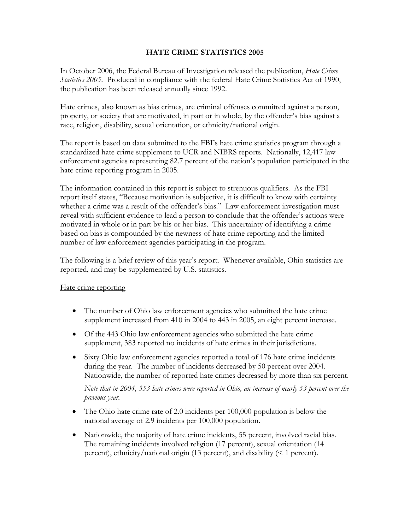## **HATE CRIME STATISTICS 2005**

In October 2006, the Federal Bureau of Investigation released the publication, *Hate Crime Statistics 2005*. Produced in compliance with the federal Hate Crime Statistics Act of 1990, the publication has been released annually since 1992.

Hate crimes, also known as bias crimes, are criminal offenses committed against a person, property, or society that are motivated, in part or in whole, by the offender's bias against a race, religion, disability, sexual orientation, or ethnicity/national origin.

The report is based on data submitted to the FBI's hate crime statistics program through a standardized hate crime supplement to UCR and NIBRS reports. Nationally, 12,417 law enforcement agencies representing 82.7 percent of the nation's population participated in the hate crime reporting program in 2005.

The information contained in this report is subject to strenuous qualifiers. As the FBI report itself states, "Because motivation is subjective, it is difficult to know with certainty whether a crime was a result of the offender's bias." Law enforcement investigation must reveal with sufficient evidence to lead a person to conclude that the offender's actions were motivated in whole or in part by his or her bias. This uncertainty of identifying a crime based on bias is compounded by the newness of hate crime reporting and the limited number of law enforcement agencies participating in the program.

The following is a brief review of this year's report. Whenever available, Ohio statistics are reported, and may be supplemented by U.S. statistics.

## Hate crime reporting

- The number of Ohio law enforcement agencies who submitted the hate crime supplement increased from 410 in 2004 to 443 in 2005, an eight percent increase.
- Of the 443 Ohio law enforcement agencies who submitted the hate crime supplement, 383 reported no incidents of hate crimes in their jurisdictions.
- Sixty Ohio law enforcement agencies reported a total of 176 hate crime incidents during the year. The number of incidents decreased by 50 percent over 2004. Nationwide, the number of reported hate crimes decreased by more than six percent.

*Note that in 2004, 353 hate crimes were reported in Ohio, an increase of nearly 53 percent over the previous year.*

- The Ohio hate crime rate of 2.0 incidents per 100,000 population is below the national average of 2.9 incidents per 100,000 population.
- Nationwide, the majority of hate crime incidents, 55 percent, involved racial bias. The remaining incidents involved religion (17 percent), sexual orientation (14 percent), ethnicity/national origin (13 percent), and disability (< 1 percent).